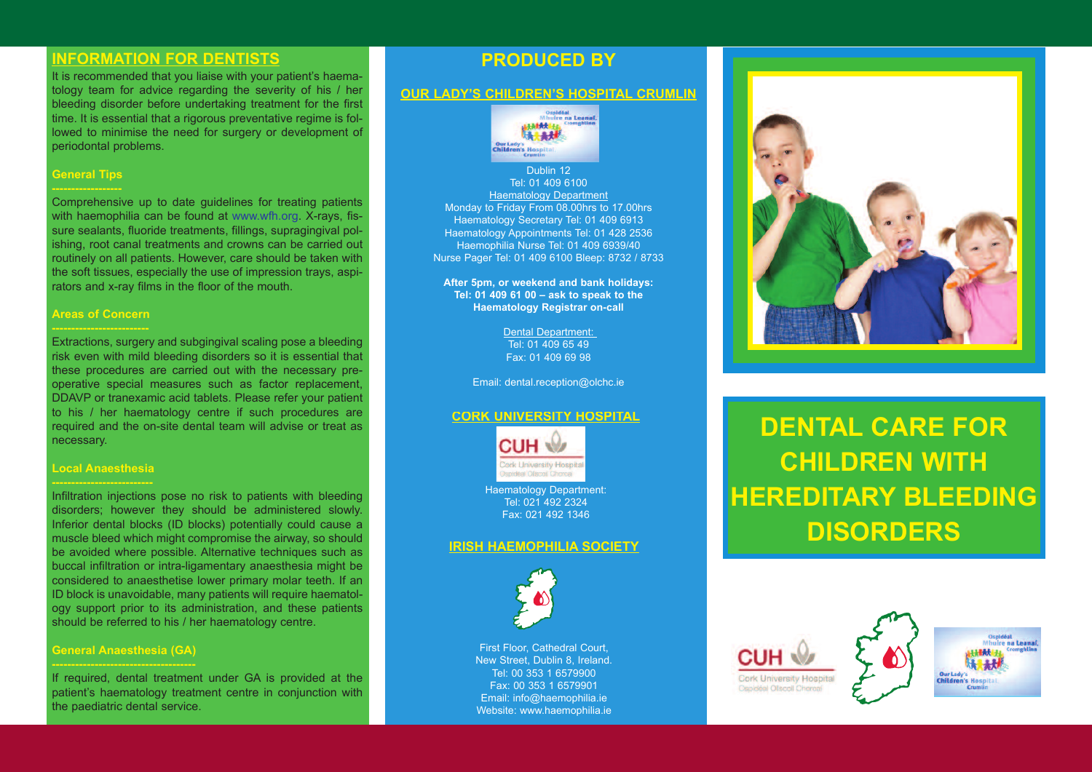# **INFORMATION FOR DENTISTS**

It is recommended that you liaise with your patient's haematology team for advice regarding the severity of his / her bleeding disorder before undertaking treatment for the first time. It is essential that a rigorous preventative regime is followed to minimise the need for surgery or development of periodontal problems.

### **General Tips**

Comprehensive up to date guidelines for treating patients with haemophilia can be found at www.wfh.org. X-rays, fissure sealants, fluoride treatments, fillings, supragingival polishing, root canal treatments and crowns can be carried out routinely on all patients. However, care should be taken with the soft tissues, especially the use of impression trays, aspirators and x-ray films in the floor of the mouth.

### **Areas of Concern**

Extractions, surgery and subgingival scaling pose a bleeding risk even with mild bleeding disorders so it is essential that these procedures are carried out with the necessary preoperative special measures such as factor replacement, DDAVP or tranexamic acid tablets. Please refer your patient to his / her haematology centre if such procedures are required and the on-site dental team will advise or treat as necessary.

## **Local Anaesthesia**

Infiltration injections pose no risk to patients with bleeding disorders; however they should be administered slowly. Inferior dental blocks (ID blocks) potentially could cause a muscle bleed which might compromise the airway, so should be avoided where possible. Alternative techniques such as buccal infiltration or intra-ligamentary anaesthesia might be considered to anaesthetise lower primary molar teeth. If an ID block is unavoidable, many patients will require haematology support prior to its administration, and these patients should be referred to his / her haematology centre.

## **General Anaesthesia (GA)**

If required, dental treatment under GA is provided at the patient's haematology treatment centre in conjunction with the paediatric dental service.

# **pRODUCED By**

## **OUR LADy'S ChILDREN'S hOSpITAL CRUMLIN**



Dublin 12 Tel: 01 409 6100 Haematology Department Monday to Friday From 08.00hrs to 17.00hrs Haematology Secretary Tel: 01 409 6913 Haematology Appointments Tel: 01 428 2536 Haemophilia Nurse Tel: 01 409 6939/40 Nurse Pager Tel: 01 409 6100 Bleep: 8732 / 8733

**After 5pm, or weekend and bank holidays: Tel: 01 409 61 00 – ask to speak to the haematology Registrar on-call**

> Dental Department: Tel: 01 409 65 49 Fax: 01 409 69 98

Email: dental.reception@olchc.ie

### **CORk UNIvERSITy hOSpITAL**



Haematology Department: Tel: 021 492 2324 Fax: 021 492 1346

### **IRISh hAEMOphILIA SOCIETy**



First Floor, Cathedral Court, New Street, Dublin 8, Ireland. Tel: 00 353 1 6579900 Fax: 00 353 1 6579901 Email: info@haemophilia.ie Website: www.haemophilia.ie



# **DENTAL CARE FOR ChILDREN WITh hEREDITARy BLEEDING DISORDERS**